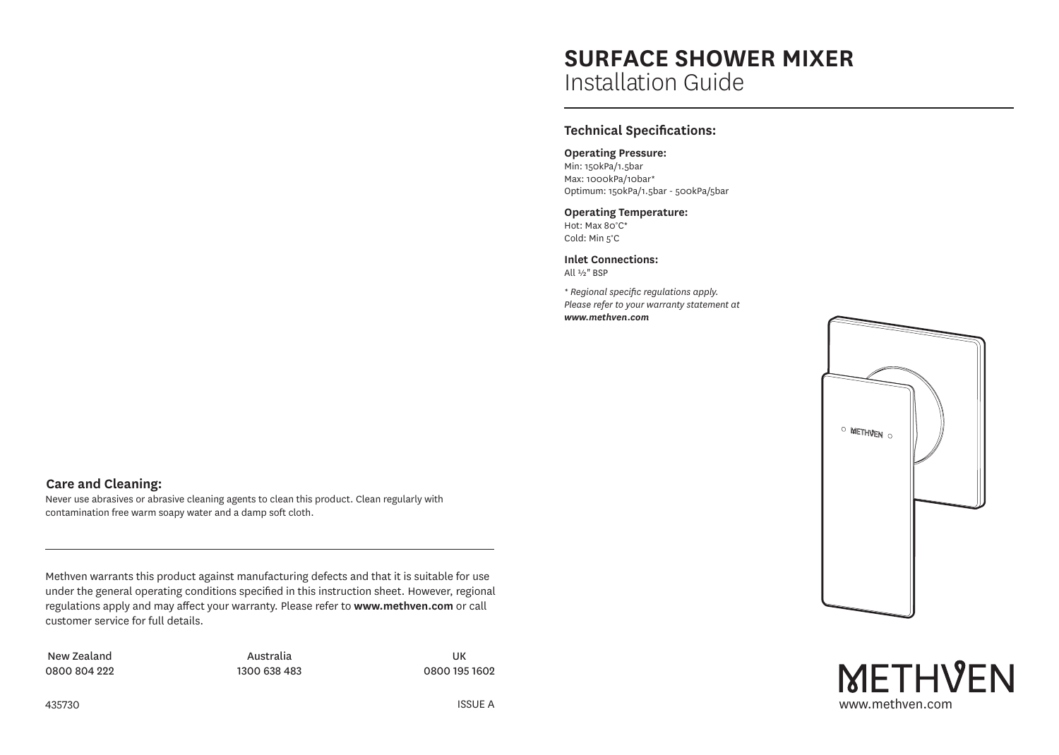# **SURFACE SHOWER MIXER** Installation Guide

# **Technical Specifications:**

# **Operating Pressure:**

Min: 150kPa/1.5bar Max: 1000kPa/10bar\* Optimum: 150kPa/1.5bar - 500kPa/5bar

#### **Operating Temperature:**

Hot: Max 80°C\* Cold: Min 5°C

**Inlet Connections:** All ½" BSP

*\* Regional specific regulations apply. Please refer to your warranty statement at www.methven.com*



www.methven.com

**METHVEN** 

# **Care and Cleaning:**

Never use abrasives or abrasive cleaning agents to clean this product. Clean regularly with contamination free warm soapy water and a damp soft cloth.

Methven warrants this product against manufacturing defects and that it is suitable for use under the general operating conditions specified in this instruction sheet. However, regional regulations apply and may affect your warranty. Please refer to **www.methven.com** or call customer service for full details.

New Zealand 0800 804 222

Australia 1300 638 483

UK 0800 195 1602